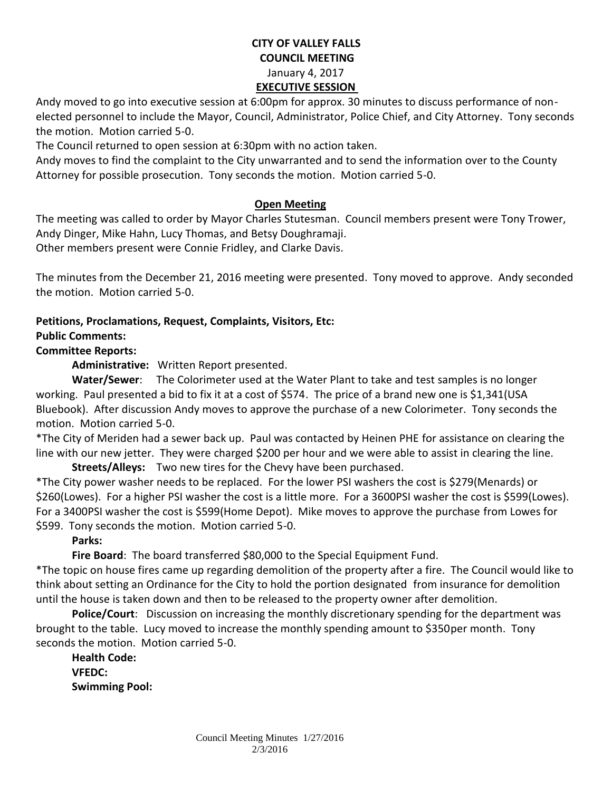### **CITY OF VALLEY FALLS COUNCIL MEETING** January 4, 2017 **EXECUTIVE SESSION**

Andy moved to go into executive session at 6:00pm for approx. 30 minutes to discuss performance of nonelected personnel to include the Mayor, Council, Administrator, Police Chief, and City Attorney. Tony seconds the motion. Motion carried 5-0.

The Council returned to open session at 6:30pm with no action taken.

Andy moves to find the complaint to the City unwarranted and to send the information over to the County Attorney for possible prosecution. Tony seconds the motion. Motion carried 5-0.

#### **Open Meeting**

The meeting was called to order by Mayor Charles Stutesman. Council members present were Tony Trower, Andy Dinger, Mike Hahn, Lucy Thomas, and Betsy Doughramaji. Other members present were Connie Fridley, and Clarke Davis.

The minutes from the December 21, 2016 meeting were presented. Tony moved to approve. Andy seconded the motion. Motion carried 5-0.

# **Petitions, Proclamations, Request, Complaints, Visitors, Etc:**

## **Public Comments:**

### **Committee Reports:**

**Administrative:** Written Report presented.

**Water/Sewer**: The Colorimeter used at the Water Plant to take and test samples is no longer working. Paul presented a bid to fix it at a cost of \$574. The price of a brand new one is \$1,341(USA Bluebook). After discussion Andy moves to approve the purchase of a new Colorimeter. Tony seconds the motion. Motion carried 5-0.

\*The City of Meriden had a sewer back up. Paul was contacted by Heinen PHE for assistance on clearing the line with our new jetter. They were charged \$200 per hour and we were able to assist in clearing the line.

**Streets/Alleys:** Two new tires for the Chevy have been purchased.

\*The City power washer needs to be replaced. For the lower PSI washers the cost is \$279(Menards) or \$260(Lowes). For a higher PSI washer the cost is a little more. For a 3600PSI washer the cost is \$599(Lowes). For a 3400PSI washer the cost is \$599(Home Depot). Mike moves to approve the purchase from Lowes for \$599. Tony seconds the motion. Motion carried 5-0.

### **Parks:**

**Fire Board**: The board transferred \$80,000 to the Special Equipment Fund.

\*The topic on house fires came up regarding demolition of the property after a fire. The Council would like to think about setting an Ordinance for the City to hold the portion designated from insurance for demolition until the house is taken down and then to be released to the property owner after demolition.

**Police/Court**: Discussion on increasing the monthly discretionary spending for the department was brought to the table. Lucy moved to increase the monthly spending amount to \$350per month. Tony seconds the motion. Motion carried 5-0.

**Health Code: VFEDC: Swimming Pool:**